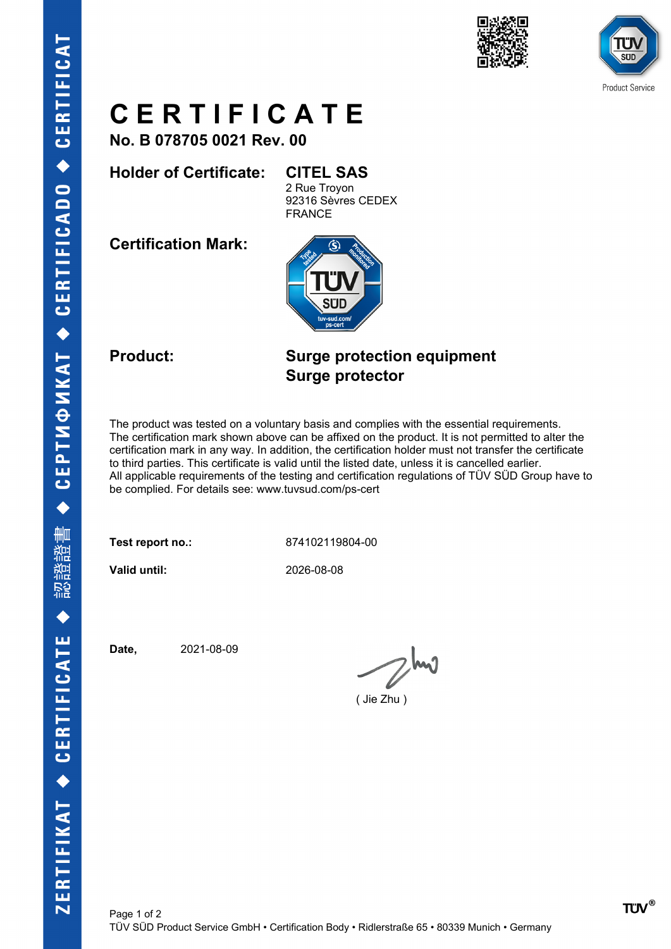



# **C E R T I F I C A T E**

**No. B 078705 0021 Rev. 00**

### **Holder of Certificate: CITEL SAS**

2 Rue Troyon 92316 Sèvres CEDEX FRANCE

**Certification Mark:**



### **Product: Surge protection equipment Surge protector**

The product was tested on a voluntary basis and complies with the essential requirements. The certification mark shown above can be affixed on the product. It is not permitted to alter the certification mark in any way. In addition, the certification holder must not transfer the certificate to third parties. This certificate is valid until the listed date, unless it is cancelled earlier. All applicable requirements of the testing and certification regulations of TÜV SÜD Group have to be complied. For details see: www.tuvsud.com/ps-cert

**Test report no.:** 874102119804-00

**Valid until:** 2026-08-08

**Date,** 2021-08-09

 $Z^{h\nu}$ 

( Jie Zhu )